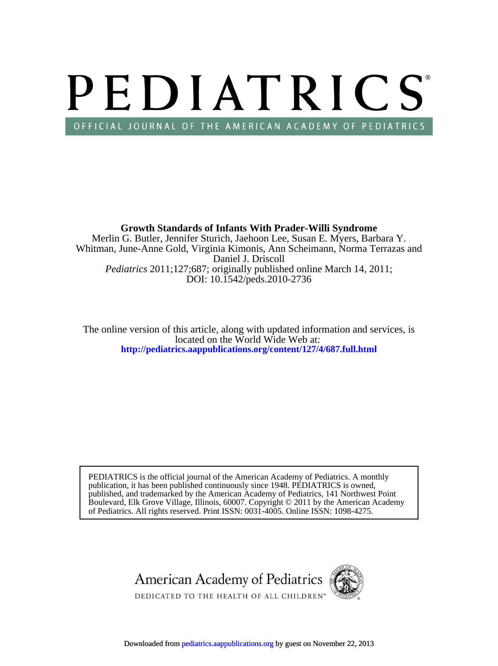# PEDIATRICS OFFICIAL JOURNAL OF THE AMERICAN ACADEMY OF PEDIATRICS

DOI: 10.1542/peds.2010-2736 *Pediatrics* 2011;127;687; originally published online March 14, 2011; Daniel J. Driscoll Whitman, June-Anne Gold, Virginia Kimonis, Ann Scheimann, Norma Terrazas and Merlin G. Butler, Jennifer Sturich, Jaehoon Lee, Susan E. Myers, Barbara Y. **Growth Standards of Infants With Prader-Willi Syndrome**

**<http://pediatrics.aappublications.org/content/127/4/687.full.html>** located on the World Wide Web at: The online version of this article, along with updated information and services, is

of Pediatrics. All rights reserved. Print ISSN: 0031-4005. Online ISSN: 1098-4275. Boulevard, Elk Grove Village, Illinois, 60007. Copyright © 2011 by the American Academy published, and trademarked by the American Academy of Pediatrics, 141 Northwest Point publication, it has been published continuously since 1948. PEDIATRICS is owned, PEDIATRICS is the official journal of the American Academy of Pediatrics. A monthly

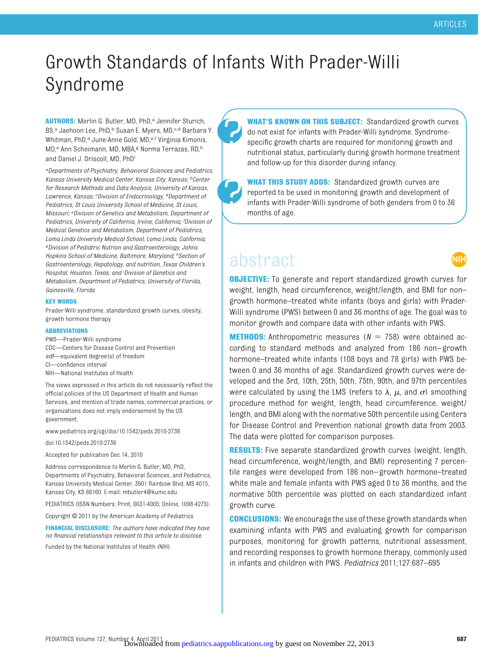ШH

## Growth Standards of Infants With Prader-Willi Syndrome

AUTHORS: Merlin G. Butler, MD, PhD,<sup>a</sup> Jennifer Sturich, BS,<sup>a</sup> Jaehoon Lee, PhD,<sup>b</sup> Susan E. Myers, MD,<sup>c,d</sup> Barbara Y. Whitman, PhD,<sup>d</sup> June-Anne Gold, MD,<sup>e,f</sup> Virginia Kimonis, MD,<sup>e</sup> Ann Scheimann, MD, MBA,<sup>g</sup> Norma Terrazas, RD,<sup>h</sup> and Daniel J. Driscoll, MD, PhDi

*aDepartments of Psychiatry, Behavioral Sciences and Pediatrics, Kansas University Medical Center, Kansas City, Kansas; bCenter for Research Methods and Data Analysis, University of Kansas, Lawrence, Kansas; <sup>c</sup> Division of Endocrinology, dDepartment of Pediatrics, St Louis University School of Medicine, St Louis, Missouri; <sup>e</sup> Division of Genetics and Metabolism, Department of Pediatrics, University of California, Irvine, California; <sup>f</sup> Division of Medical Genetics and Metabolism, Department of Pediatrics, Loma Linda University Medical School, Loma Linda, California; gDivision of Pediatric Nutrion and Gastroenterology, Johns Hopkins School of Medicine, Baltimore, Maryland; hSection of Gastroenterology, Hepatology, and nutrition, Texas Children's Hospital, Houston, Texas; and <sup>i</sup> Division of Genetics and Metabolism, Department of Pediatrics, University of Florida, Gainesville, Florida*

#### **KEY WORDS**

Prader-Willi syndrome, standardized growth curves, obesity, growth hormone therapy

#### **ABBREVIATIONS**

PWS—Prader-Willi syndrome

- CDC—Centers for Disease Control and Prevention
- *edf*—equivalent degree(s) of freedom
- CI—confidence interval
- NIH—National Institutes of Health

The views expressed in this article do not necessarily reflect the official policies of the US Department of Health and Human Services, and mention of trade names, commercial practices, or organizations does not imply endorsement by the US government.

www.pediatrics.org/cgi/doi/10.1542/peds.2010-2736

doi:10.1542/peds.2010-2736

Accepted for publication Dec 14, 2010

Address correspondence to Merlin G. Butler, MD, PhD, Departments of Psychiatry, Behavioral Sciences, and Pediatrics, Kansas University Medical Center, 3901 Rainbow Blvd, MS 4015, Kansas City, KS 66160. E-mail: mbutler4@kumc.edu

PEDIATRICS (ISSN Numbers: Print, 0031-4005; Online, 1098-4275).

Copyright © 2011 by the American Academy of Pediatrics

**FINANCIAL DISCLOSURE:** *The authors have indicated they have no financial relationships relevant to this article to disclose.*

Funded by the National Institutes of Health (NIH).

**WHAT'S KNOWN ON THIS SUBJECT:** Standardized growth curves do not exist for infants with Prader-Willi syndrome. Syndromespecific growth charts are required for monitoring growth and nutritional status, particularly during growth hormone treatment and follow-up for this disorder during infancy.

**WHAT THIS STUDY ADDS:** Standardized growth curves are reported to be used in monitoring growth and development of infants with Prader-Willi syndrome of both genders from 0 to 36 months of age.

### abstract

**OBJECTIVE:** To generate and report standardized growth curves for weight, length, head circumference, weight/length, and BMI for non– growth hormone–treated white infants (boys and girls) with Prader-Willi syndrome (PWS) between 0 and 36 months of age. The goal was to monitor growth and compare data with other infants with PWS.

**METHODS:** Anthropometric measures  $(N = 758)$  were obtained according to standard methods and analyzed from 186 non– growth hormone–treated white infants (108 boys and 78 girls) with PWS between 0 and 36 months of age. Standardized growth curves were developed and the 3rd, 10th, 25th, 50th, 75th, 90th, and 97th percentiles were calculated by using the LMS (refers to  $\lambda$ ,  $\mu$ , and  $\sigma$ ) smoothing procedure method for weight, length, head circumference, weight/ length, and BMI along with the normative 50th percentile using Centers for Disease Control and Prevention national growth data from 2003. The data were plotted for comparison purposes.

**RESULTS:** Five separate standardized growth curves (weight, length, head circumference, weight/length, and BMI) representing 7 percentile ranges were developed from 186 non– growth hormone–treated white male and female infants with PWS aged 0 to 36 months, and the normative 50th percentile was plotted on each standardized infant growth curve.

**CONCLUSIONS:** We encourage the use of these growth standards when examining infants with PWS and evaluating growth for comparison purposes, monitoring for growth patterns, nutritional assessment, and recording responses to growth hormone therapy, commonly used in infants and children with PWS. *Pediatrics* 2011;127:687–695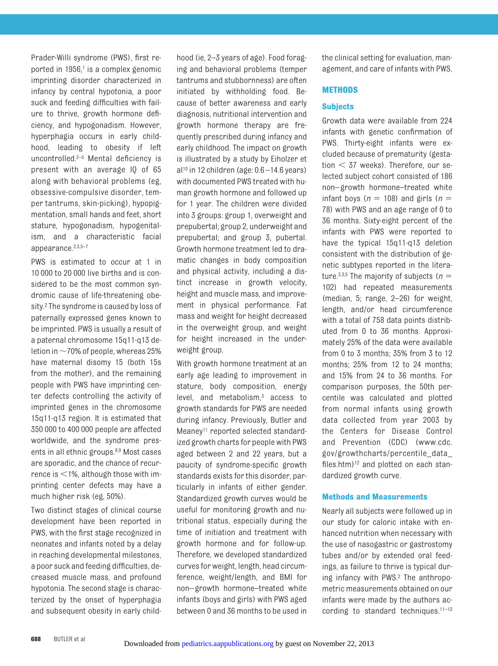Prader-Willi syndrome (PWS), first reported in  $1956<sup>1</sup>$  is a complex genomic imprinting disorder characterized in infancy by central hypotonia, a poor suck and feeding difficulties with failure to thrive, growth hormone deficiency, and hypogonadism. However, hyperphagia occurs in early childhood, leading to obesity if left uncontrolled.<sup>2–[5](#page-9-2)</sup> Mental deficiency is present with an average IQ of 65 along with behavioral problems (eg, obsessive-compulsive disorder, temper tantrums, skin-picking), hypopigmentation, small hands and feet, short stature, hypogonadism, hypogenitalism, and a characteristic facial appearance[.2](#page-9-1)[,3,](#page-9-3)[5](#page-9-2)[–7](#page-9-4)

PWS is estimated to occur at 1 in 10 000 to 20 000 live births and is considered to be the most common syndromic cause of life-threatening obesity[.2](#page-9-1) The syndrome is caused by loss of paternally expressed genes known to be imprinted. PWS is usually a result of a paternal chromosome 15q11-q13 deletion in  $\sim$  70% of people, whereas 25% have maternal disomy 15 (both 15s from the mother), and the remaining people with PWS have imprinting center defects controlling the activity of imprinted genes in the chromosome 15q11-q13 region. It is estimated that 350 000 to 400 000 people are affected worldwide, and the syndrome presents in all ethnic groups[.8](#page-9-5)[,9](#page-9-6) Most cases are sporadic, and the chance of recurrence is  $<$  1%, although those with imprinting center defects may have a much higher risk (eg, 50%).

Two distinct stages of clinical course development have been reported in PWS, with the first stage recognized in neonates and infants noted by a delay in reaching developmental milestones, a poor suck and feeding difficulties, decreased muscle mass, and profound hypotonia. The second stage is characterized by the onset of hyperphagia and subsequent obesity in early childhood (ie, 2–3 years of age). Food foraging and behavioral problems (temper tantrums and stubbornness) are often initiated by withholding food. Because of better awareness and early diagnosis, nutritional intervention and growth hormone therapy are frequently prescribed during infancy and early childhood. The impact on growth is illustrated by a study by Eiholzer et  $al^{10}$  in 12 children (age:  $0.6 - 14.6$  years) with documented PWS treated with human growth hormone and followed up for 1 year. The children were divided into 3 groups: group 1, overweight and prepubertal; group 2, underweight and prepubertal; and group 3, pubertal. Growth hormone treatment led to dramatic changes in body composition and physical activity, including a distinct increase in growth velocity, height and muscle mass, and improvement in physical performance. Fat mass and weight for height decreased in the overweight group, and weight for height increased in the underweight group.

With growth hormone treatment at an early age leading to improvement in stature, body composition, energy level, and metabolism,<sup>3</sup> access to growth standards for PWS are needed during infancy. Previously, Butler and Meaney<sup>11</sup> reported selected standardized growth charts for people with PWS aged between 2 and 22 years, but a paucity of syndrome-specific growth standards exists for this disorder, particularly in infants of either gender. Standardized growth curves would be useful for monitoring growth and nutritional status, especially during the time of initiation and treatment with growth hormone and for follow-up. Therefore, we developed standardized curves for weight, length, head circumference, weight/length, and BMI for non– growth hormone–treated white infants (boys and girls) with PWS aged between 0 and 36 mo[nths to be used in](http://pediatrics.aappublications.org/)

the clinical setting for evaluation, management, and care of infants with PWS.

#### **METHODS**

#### **Subjects**

Growth data were available from 224 infants with genetic confirmation of PWS. Thirty-eight infants were excluded because of prematurity (gestation  $<$  37 weeks). Therefore, our selected subject cohort consisted of 186 non– growth hormone–treated white infant boys ( $n = 108$ ) and girls ( $n =$ 78) with PWS and an age range of 0 to 36 months. Sixty-eight percent of the infants with PWS were reported to have the typical 15q11-q13 deletion consistent with the distribution of genetic subtypes reported in the litera-ture.<sup>2,[3](#page-9-3)[,5](#page-9-2)</sup> The majority of subjects ( $n =$ 102) had repeated measurements (median, 5; range, 2–26) for weight, length, and/or head circumference with a total of 758 data points distributed from 0 to 36 months. Approximately 25% of the data were available from 0 to 3 months; 35% from 3 to 12 months; 25% from 12 to 24 months; and 15% from 24 to 36 months. For comparison purposes, the 50th percentile was calculated and plotted from normal infants using growth data collected from year 2003 by the Centers for Disease Control and Prevention (CDC) (www.cdc. gov/growthcharts/percentile\_data\_ files.htm) $12$  and plotted on each standardized growth curve.

#### **Methods and Measurements**

Nearly all subjects were followed up in our study for caloric intake with enhanced nutrition when necessary with the use of nasogastric or gastrostomy tubes and/or by extended oral feedings, as failure to thrive is typical during infancy with PWS[.2](#page-9-1) The anthropometric measurements obtained on our infants were made by the authors according to standard techniques.<sup>11-13</sup>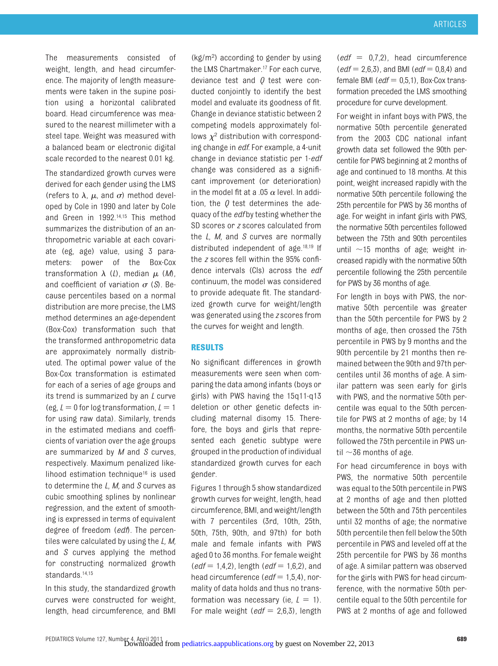The measurements consisted of weight, length, and head circumference. The majority of length measurements were taken in the supine position using a horizontal calibrated board. Head circumference was measured to the nearest millimeter with a steel tape. Weight was measured with a balanced beam or electronic digital scale recorded to the nearest 0.01 kg.

The standardized growth curves were derived for each gender using the LMS (refers to  $\lambda$ ,  $\mu$ , and  $\sigma$ ) method developed by Cole in 1990 and later by Cole and Green in 1992[.14](#page-9-11)[,15](#page-9-12) This method summarizes the distribution of an anthropometric variable at each covariate (eg, age) value, using 3 parameters: power of the Box-Cox transformation  $\lambda$  (*L*), median  $\mu$  (*M*), and coefficient of variation  $\sigma$  (*S*). Because percentiles based on a normal distribution are more precise, the LMS method determines an age-dependent (Box-Cox) transformation such that the transformed anthropometric data are approximately normally distributed. The optimal power value of the Box-Cox transformation is estimated for each of a series of age groups and its trend is summarized by an *L* curve (eg,  $L = 0$  for log transformation,  $L = 1$ for using raw data). Similarly, trends in the estimated medians and coefficients of variation over the age groups are summarized by *M* and *S* curves, respectively. Maximum penalized likelihood estimation techniqu[e16](#page-9-13) is used to determine the *L*, *M,* and *S* curves as cubic smoothing splines by nonlinear regression, and the extent of smoothing is expressed in terms of equivalent degree of freedom (*edf*). The percentiles were calculated by using the *L, M,* and *S* curves applying the method for constructing normalized growth standards[.14,](#page-9-11)[15](#page-9-12)

In this study, the standardized growth curves were constructed for weight, length, head circumference, and BMI

(kg/m<sup>2</sup> ) according to gender by using the LMS Chartmaker.<sup>17</sup> For each curve. deviance test and *Q* test were conducted conjointly to identify the best model and evaluate its goodness of fit. Change in deviance statistic between 2 competing models approximately follows  $\chi^2$  distribution with corresponding change in *edf*. For example, a 4-unit change in deviance statistic per 1-*edf* change was considered as a significant improvement (or deterioration) in the model fit at a .05  $\alpha$  level. In addition, the *Q* test determines the adequacy of the *edf* by testing whether the SD scores or *z* scores calculated from the *L*, *M*, and *S* curves are normally distributed independent of age[.18](#page-9-15)[,19](#page-9-16) If the *z* scores fell within the 95% confidence intervals (CIs) across the *edf* continuum, the model was considered to provide adequate fit. The standardized growth curve for weight/length was generated using the *z* scores from the curves for weight and length.

#### **RESULTS**

No significant differences in growth measurements were seen when comparing the data among infants (boys or girls) with PWS having the 15q11-q13 deletion or other genetic defects including maternal disomy 15. Therefore, the boys and girls that represented each genetic subtype were grouped in the production of individual standardized growth curves for each gender.

Figures 1 through 5 show standardized growth curves for weight, length, head circumference, BMI, and weight/length with 7 percentiles (3rd, 10th, 25th, 50th, 75th, 90th, and 97th) for both male and female infants with PWS aged 0 to 36 months. For female weight  $(edf = 1, 4, 2)$ , length  $(edf = 1, 6, 2)$ , and head circumference (*edf* = 1,5,4), normality of data holds and thus no transformation was necessary (ie,  $L = 1$ ). For male weight  $(edf = 2,6,3)$ , length  $\text{(edf = 0.7.2)}$ , head circumference  $(edf = 2,6,3)$ , and BMI (*edf* = 0,8,4) and female BMI ( $edf = 0.5.1$ ), Box-Cox transformation preceded the LMS smoothing procedure for curve development.

For weight in infant boys with PWS, the normative 50th percentile generated from the 2003 CDC national infant growth data set followed the 90th percentile for PWS beginning at 2 months of age and continued to 18 months. At this point, weight increased rapidly with the normative 50th percentile following the 25th percentile for PWS by 36 months of age. For weight in infant girls with PWS, the normative 50th percentiles followed between the 75th and 90th percentiles until  $\sim$ 15 months of age; weight increased rapidly with the normative 50th percentile following the 25th percentile for PWS by 36 months of age.

For length in boys with PWS, the normative 50th percentile was greater than the 50th percentile for PWS by 2 months of age, then crossed the 75th percentile in PWS by 9 months and the 90th percentile by 21 months then remained between the 90th and 97th percentiles until 36 months of age. A similar pattern was seen early for girls with PWS, and the normative 50th percentile was equal to the 50th percentile for PWS at 2 months of age; by 14 months, the normative 50th percentile followed the 75th percentile in PWS until  $\sim$ 36 months of age.

For head circumference in boys with PWS, the normative 50th percentile was equal to the 50th percentile in PWS at 2 months of age and then plotted between the 50th and 75th percentiles until 32 months of age; the normative 50th percentile then fell below the 50th percentile in PWS and leveled off at the 25th percentile for PWS by 36 months of age. A similar pattern was observed for the girls with PWS for head circumference, with the normative 50th percentile equal to the 50th percentile for PWS at 2 months of age and followed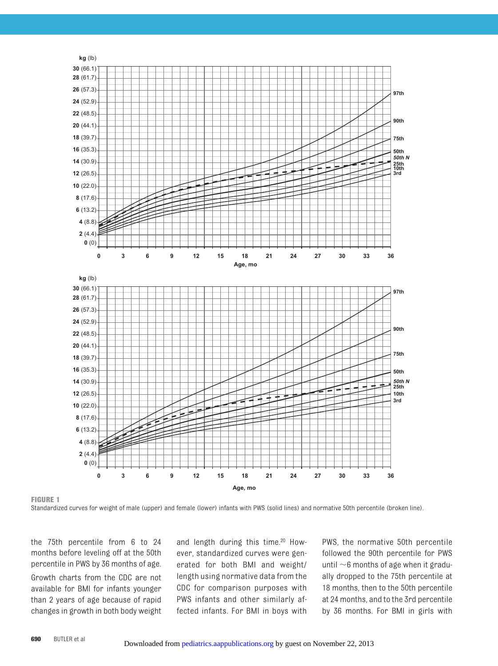

**FIGURE 1**

Standardized curves for weight of male (upper) and female (lower) infants with PWS (solid lines) and normative 50th percentile (broken line).

the 75th percentile from 6 to 24 months before leveling off at the 50th percentile in PWS by 36 months of age. Growth charts from the CDC are not available for BMI for infants younger than 2 years of age because of rapid changes in growth in both body weight and length during this time.<sup>20</sup> However, standardized curves were generated for both BMI and weight/ length using normative data from the CDC for comparison purposes with PWS infants and other similarly affected infants. For [BMI in boys with](http://pediatrics.aappublications.org/)

PWS, the normative 50th percentile followed the 90th percentile for PWS until  $\sim$ 6 months of age when it gradually dropped to the 75th percentile at 18 months, then to the 50th percentile at 24 months, and to the 3rd percentile by 36 months. For BMI in girls with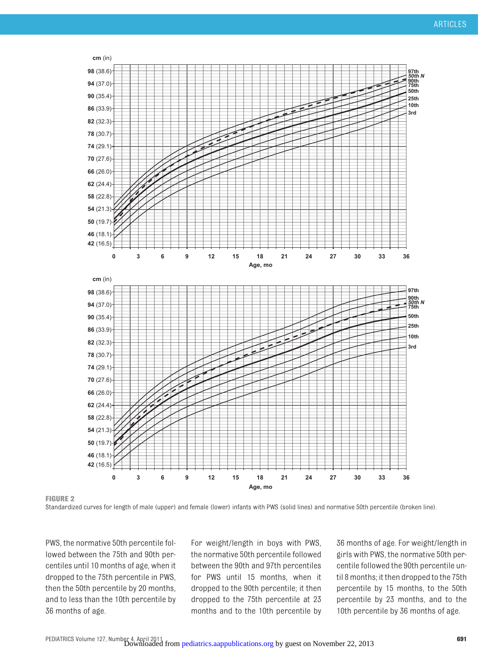

**FIGURE 2**

Standardized curves for length of male (upper) and female (lower) infants with PWS (solid lines) and normative 50th percentile (broken line).

PWS, the normative 50th percentile followed between the 75th and 90th percentiles until 10 months of age, when it dropped to the 75th percentile in PWS, then the 50th percentile by 20 months, and to less than the 10th percentile by 36 months of age.

For weight/length in boys with PWS, the normative 50th percentile followed between the 90th and 97th percentiles for PWS until 15 months, when it dropped to the 90th percentile; it then dropped to the 75th percentile at 23 months and to t[he 10th percentile by](http://pediatrics.aappublications.org/)

36 months of age. For weight/length in girls with PWS, the normative 50th percentile followed the 90th percentile until 8 months; it then dropped to the 75th percentile by 15 months, to the 50th percentile by 23 months, and to the 10th percentile by 36 months of age.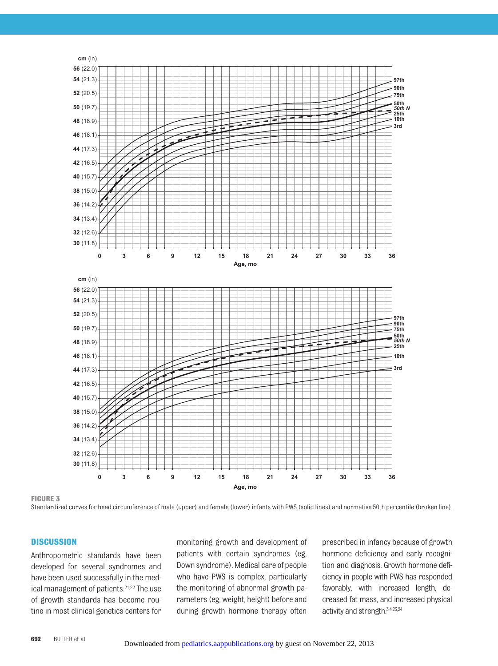

**FIGURE 3**

Standardized curves for head circumference of male (upper) and female (lower) infants with PWS (solid lines) and normative 50th percentile (broken line).

#### **DISCUSSION**

Anthropometric standards have been developed for several syndromes and have been used successfully in the medical management of patients[.21,](#page-9-18)[22](#page-9-19) The use of growth standards has become routine in most clinical genetics centers for monitoring growth and development of patients with certain syndromes (eg, Down syndrome). Medical care of people who have PWS is complex, particularly the monitoring of abnormal growth parameters (eg, weight, height) before and during growth horm[one therapy often](http://pediatrics.aappublications.org/)

prescribed in infancy because of growth hormone deficiency and early recognition and diagnosis. Growth hormone deficiency in people with PWS has responded favorably, with increased length, decreased fat mass, and increased physical activity and strength[.3,](#page-9-3)[4](#page-9-20)[,23,](#page-9-21)[24](#page-9-22)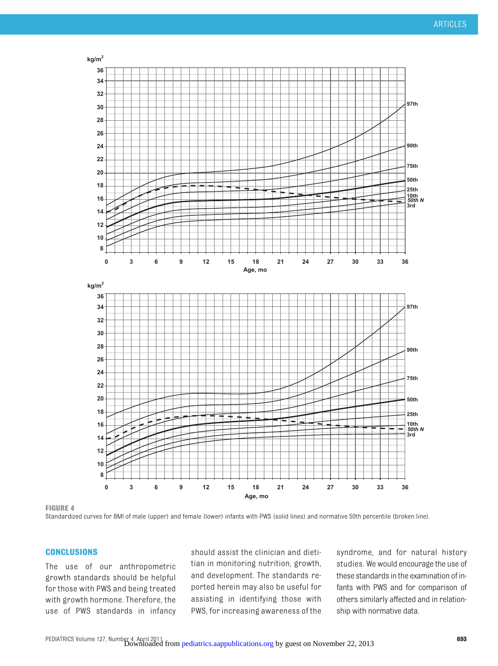

**FIGURE 4**

Standardized curves for BMI of male (upper) and female (lower) infants with PWS (solid lines) and normative 50th percentile (broken line).

#### **CONCLUSIONS**

The use of our anthropometric growth standards should be helpful for those with PWS and being treated with growth hormone. Therefore, the use of PWS standards in infancy should assist the clinician and dietitian in monitoring nutrition, growth, and development. The standards reported herein may also be useful for assisting in identifying those with PWS, for increas[ing awareness of the](http://pediatrics.aappublications.org/)

syndrome, and for natural history studies. We would encourage the use of these standards inthe examination of infants with PWS and for comparison of others similarly affected and in relationship with normative data.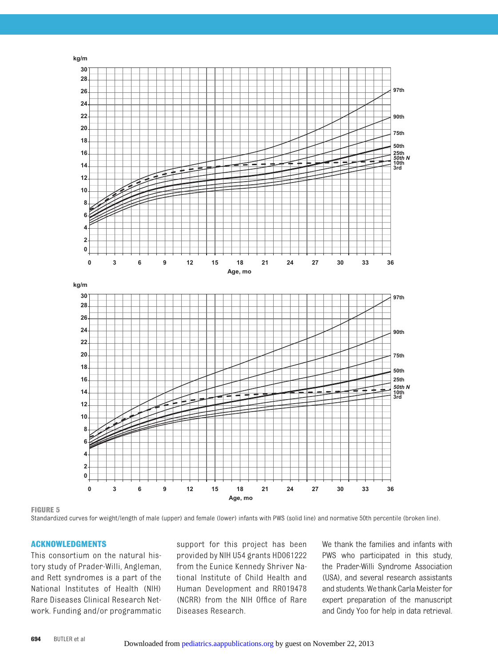

**FIGURE 5**

Standardized curves for weight/length of male (upper) and female (lower) infants with PWS (solid line) and normative 50th percentile (broken line).

#### **ACKNOWLEDGMENTS**

This consortium on the natural history study of Prader-Willi, Angleman, and Rett syndromes is a part of the National Institutes of Health (NIH) Rare Diseases Clinical Research Network. Funding and/or programmatic support for this project has been provided by NIH U54 grants HD061222 from the Eunice Kennedy Shriver National Institute of Child Health and Human Development and RR019478 (NCRR) from the NIH Office of Rare Diseases Research.

We thank the families and infants with PWS who participated in this study, the Prader-Willi Syndrome Association (USA), and several research assistants and students. Wethank CarlaMeister for expert preparation of the manuscript [and Cin](http://pediatrics.aappublications.org/)dy Yoo for help in data retrieval.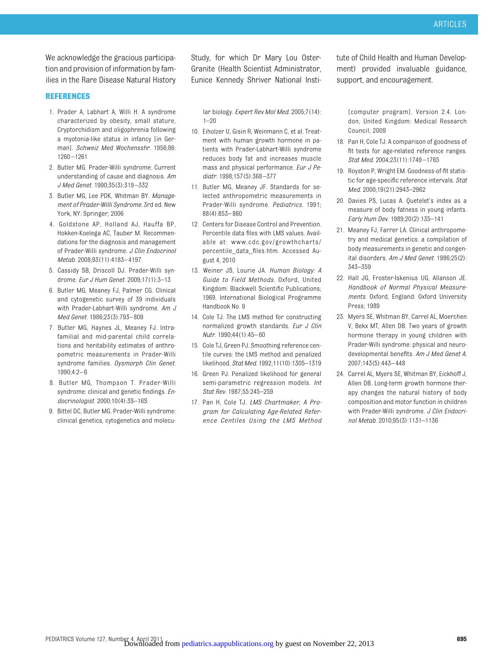We acknowledge the gracious participation and provision of information by families in the Rare Disease Natural History

#### **REFERENCES**

- <span id="page-9-0"></span>1. Prader A, Labhart A, Willi H. A syndrome characterized by obesity, small stature, Cryptorchidism and oligophrenia following a myotonia-like status in infancy [in German]. *Schweiz Med Wochensshr*. 1956;86: 1260 –1261
- <span id="page-9-1"></span>2. Butler MG. Prader-Willi syndrome: Current understanding of cause and diagnosis. *Am J Med Genet*. 1990;35(3):319 –332
- <span id="page-9-3"></span>3. Butler MG, Lee PDK, Whitman BY. *Management of Prader-Willi Syndrome.* 3rd ed. New York, NY: Springer; 2006
- <span id="page-9-20"></span>4. Goldstone AP, Holland AJ, Hauffa BP, Hokken-Koelega AC, Tauber M. Recommendations for the diagnosis and management of Prader-Willi syndrome. *J Clin Endocrinol Metab*. 2008;93(11):4183– 4197
- <span id="page-9-2"></span>5. Cassidy SB, Driscoll DJ. Prader-Willi syndrome. *Eur J Hum Genet*. 2009;17(1):3–13
- 6. Butler MG, Meaney FJ, Palmer CG. Clinical and cytogenetic survey of 39 individuals with Prader-Labhart-Willi syndrome. *Am J Med Genet*. 1986;23(3):793– 809
- <span id="page-9-4"></span>7. Butler MG, Haynes JL, Meaney FJ. Intrafamilial and mid-parental child correlations and heritability estimates of anthropometric measurements in Prader-Willi syndrome families. *Dysmorph Clin Genet*. 1990;4:2– 6
- <span id="page-9-5"></span>8. Butler MG, Thompson T. Prader-Willi syndrome: clinical and genetic findings. *Endocrinologist*. 2000;10(4):3S–16S
- <span id="page-9-6"></span>9. Bittel DC, Butler MG. Prader-Willi syndrome: clinical genetics, cytogenetics and molecu-

Study, for which Dr Mary Lou Oster-Granite (Health Scientist Administrator, Eunice Kennedy Shriver National Insti-

lar biology. *Expert Rev Mol Med*. 2005;7(14):  $1 - 20$ 

- <span id="page-9-7"></span>10. Eiholzer U, Gisin R, Weinmann C, et al. Treatment with human growth hormone in patients with Prader-Labhart-Willi syndrome reduces body fat and increases muscle mass and physical performance. *Eur J Pediatr*. 1998;157(5):368 –377
- <span id="page-9-8"></span>11. Butler MG, Meaney JF. Standards for selected anthropometric measurements in Prader-Willi syndrome. *Pediatrics*. 1991; 88(4):853– 860
- <span id="page-9-9"></span>12. Centers for Disease Control and Prevention. Percentile data files with LMS values. Available at: [www.cdc.gov/growthcharts/](www.cdc.gov/growthcharts/percentile_data_files.htm) [percentile\\_data\\_files.htm.](www.cdc.gov/growthcharts/percentile_data_files.htm) Accessed August 4, 2010
- <span id="page-9-10"></span>13. Weiner JS, Lourie JA. *Human Biology: A Guide to Field Methods*. Oxford, United Kingdom: Blackwell Scientific Publications; 1969. International Biological Programme Handbook No. 9
- <span id="page-9-11"></span>14. Cole TJ. The LMS method for constructing normalized growth standards. *Eur J Clin Nutr*. 1990;44(1):45– 60
- <span id="page-9-12"></span>15. Cole TJ, Green PJ. Smoothing reference centile curves: the LMS method and penalized likelihood. *Stat Med*. 1992;11(10):1305–1319
- <span id="page-9-13"></span>16. Green PJ. Penalized likelihood for general semi-parametric regression models. *Int Stat Rev*. 1987;55:245–259
- <span id="page-9-14"></span>17. Pan H, Cole TJ. *LMS Chartmaker, A Program for Calculating Age-Related Reference Centiles Using the LMS Method*

tute of Child Health and Human Development) provided invaluable guidance, support, and encouragement.

[computer program]. Version 2.4. London, United Kingdom: Medical Research Council; 2009

- <span id="page-9-15"></span>18. Pan H, Cole TJ. A comparison of goodness of fit tests for age-related reference ranges. *Stat Med*. 2004;23(11):1749 –1765
- <span id="page-9-16"></span>19. Royston P, Wright EM. Goodness-of-fit statistic for age-specific reference intervals. *Stat Med*. 2000;19(21):2943–2962
- <span id="page-9-17"></span>20. Davies PS, Lucas A. Quetelet's index as a measure of body fatness in young infants. *Early Hum Dev*. 1989;20(2):135–141
- <span id="page-9-18"></span>21. Meaney FJ, Farrer LA. Clinical anthropometry and medical genetics: a compilation of body measurements in genetic and congenital disorders. *Am J Med Genet*. 1986;25(2): 343–359
- <span id="page-9-19"></span>22. Hall JG, Froster-Iskenius UG, Allanson JE. *Handbook of Normal Physical Measurements.* Oxford, England: Oxford University Press; 1989
- <span id="page-9-21"></span>23. Myers SE, Whitman BY, Carrel AL, Moerchen V, Bekx MT, Allen DB. Two years of growth hormone therapy in young children with Prader-Willi syndrome: physical and neurodevelopmental benefits. *Am J Med Genet A*. 2007;143(5):443– 448
- <span id="page-9-22"></span>24. Carrel AL, Myers SE, Whitman BY, Eickhoff J, Allen DB. Long-term growth hormone therapy changes the natural history of body composition and motor function in children with Prader-Willi syndrome. *J Clin Endocrinol Metab*. 2010;95(3):1131–1136